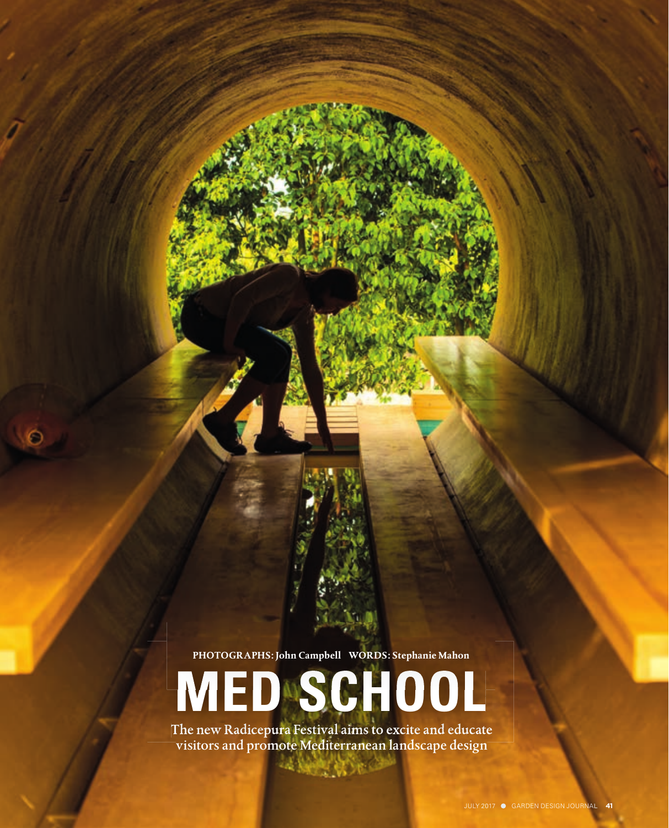**PHOTOGRAPHS: John Campbell WORDS: Stephanie Mahon**

# **MED SCHOOL**

The new Radicepura Festival aims to excite and educate visitors and promote Mediterranean landscape design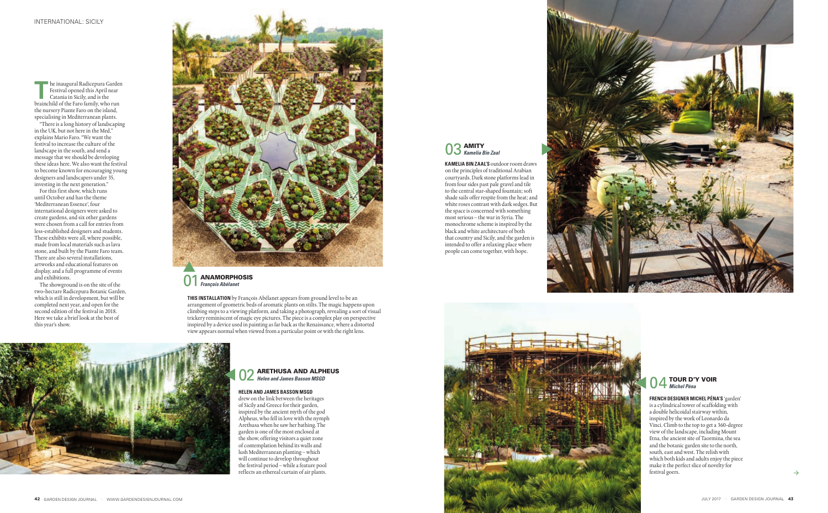

Festival opened this April near Catania in Sicily, and is the brainchild of the Faro family, who run the nursery Piante Faro on the island, specialising in Mediterranean plants.

"There is a long history of landscaping in the UK, but not here in the Med," explains Mario Faro. "We want the festival to increase the culture of the landscape in the south, and send a message that we should be developing these ideas here. We also want the festival to become known for encouraging young designers and landscapers under 35, investing in the next generation."

For this first show, which runs until October and has the theme 'Mediterranean Essence', four international designers were asked to create gardens, and six other gardens were chosen from a call for entries from less-established designers and students. These exhibits were all, where possible, made from local materials such as lava stone, and built by the Piante Faro team. There are also several installations, artworks and educational features on display, and a full programme of events and exhibitions.

#### **ARETHUSA AND ALPHEUS** *Helen and James Basson MSGD*

The showground is on the site of the two-hectare Radicepura Botanic Garden, which is still in development, but will be completed next year, and open for the second edition of the festival in 2018. Here we take a brief look at the best of this year's show.



**THIS INSTALLATION** by François Abélanet appears from ground level to be an arrangement of geometric beds of aromatic plants on stilts. The magic happens upon climbing steps to a viewing platform, and taking a photograph, revealing a sort of visual trickery reminiscent of magic eye pictures. The piece is a complex play on perspective inspired by a device used in painting as far back as the Renaissance, where a distorted view appears normal when viewed from a particular point or with the right lens.

01 ANAMORPHOSIS *François Abélanet*





## **HELEN AND JAMES BASSON MSGD**

drew on the link between the heritages of Sicily and Greece for their garden, inspired by the ancient myth of the god Alpheus, who fell in love with the nymph Arethusa when he saw her bathing. The garden is one of the most enclosed at the show, offering visitors a quiet zone of contemplation behind its walls and lush Mediterranean planting – which will continue to develop throughout the festival period – while a feature pool reflects an ethereal curtain of air plants.

**KAMELIA BIN ZAAL'S** outdoor room draws on the principles of traditional Arabian courtyards. Dark stone platforms lead in from four sides past pale gravel and tile to the central star-shaped fountain; soft shade sails offer respite from the heat; and white roses contrast with dark sedges. But the space is concerned with something most serious – the war in Syria. The monochrome scheme is inspired by the black and white architecture of both that country and Sicily, and the garden is intended to offer a relaxing place where people can come together, with hope.





**FRENCH DESIGNER MICHEL PÉNA'S** 'garden' is a cylindrical tower of scaffolding with a double helicoidal stairway within, inspired by the work of Leonardo da Vinci. Climb to the top to get a 360-degree view of the landscape, including Mount Etna, the ancient site of Taormina, the sea and the botanic garden site to the north, south, east and west. The relish with which both kids and adults enjoy the piece make it the perfect slice of novelty for festival goers.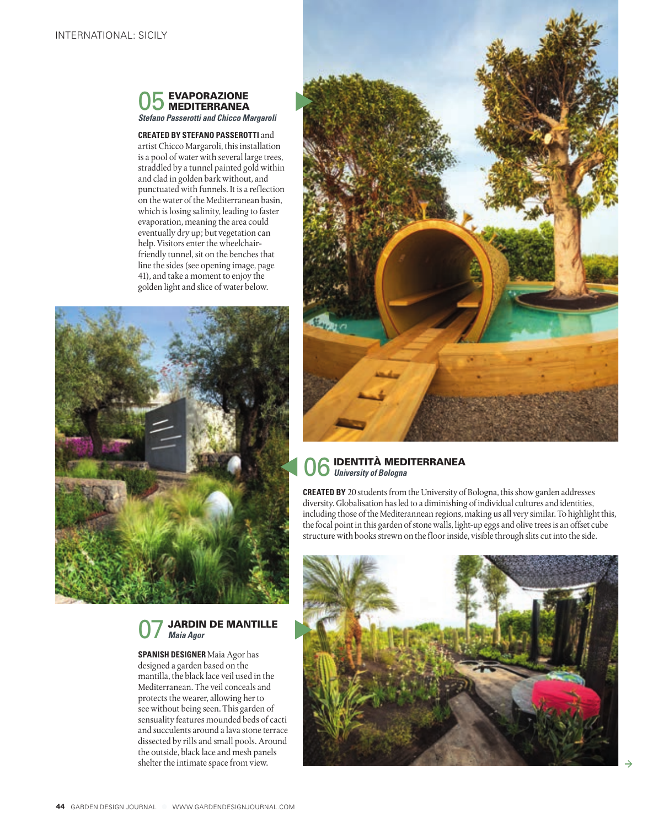

**CREATED BY STEFANO PASSEROTTI** and artist Chicco Margaroli, this installation is a pool of water with several large trees, straddled by a tunnel painted gold within and clad in golden bark without, and punctuated with funnels. It is a reflection on the water of the Mediterranean basin, which is losing salinity, leading to faster evaporation, meaning the area could eventually dry up; but vegetation can help. Visitors enter the wheelchairfriendly tunnel, sit on the benches that line the sides (see opening image, page 41), and take a moment to enjoy the golden light and slice of water below.



# **JARDIN DE MANTILLE** *Maia Agor*

**SPANISH DESIGNER** Maia Agor has designed a garden based on the mantilla, the black lace veil used in the Mediterranean. The veil conceals and protects the wearer, allowing her to see without being seen. This garden of sensuality features mounded beds of cacti and succulents around a lava stone terrace dissected by rills and small pools. Around the outside, black lace and mesh panels shelter the intimate space from view.



# 06IDENTITÀ MEDITERRANEA *University of Bologna*

**CREATED BY** 20 students from the University of Bologna, this show garden addresses diversity. Globalisation has led to a diminishing of individual cultures and identities, including those of the Mediterannean regions, making us all very similar. To highlight this, the focal point in this garden of stone walls, light-up eggs and olive trees is an offset cube structure with books strewn on the floor inside, visible through slits cut into the side.